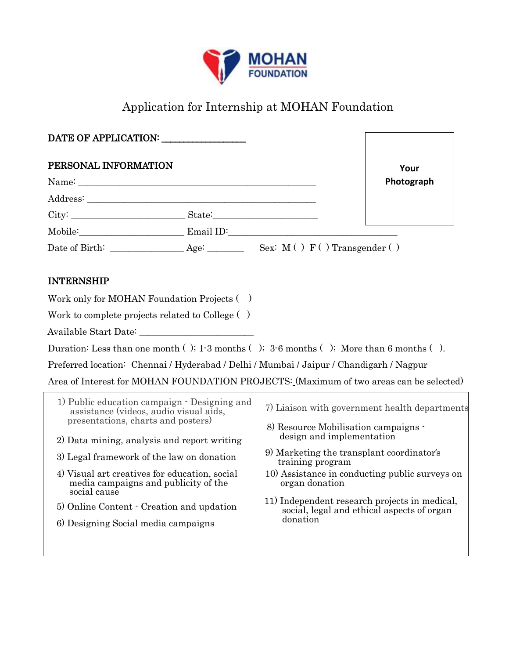

# Application for Internship at MOHAN Foundation

| DATE OF APPLICATION:                                                                                                                                                                                                                                                                                                                                                                                                                                                                                                                                                                                                                                                                                                                                                                                                           |                                                                                                                                                                                                                                                                                                                      |                                            |
|--------------------------------------------------------------------------------------------------------------------------------------------------------------------------------------------------------------------------------------------------------------------------------------------------------------------------------------------------------------------------------------------------------------------------------------------------------------------------------------------------------------------------------------------------------------------------------------------------------------------------------------------------------------------------------------------------------------------------------------------------------------------------------------------------------------------------------|----------------------------------------------------------------------------------------------------------------------------------------------------------------------------------------------------------------------------------------------------------------------------------------------------------------------|--------------------------------------------|
| PERSONAL INFORMATION                                                                                                                                                                                                                                                                                                                                                                                                                                                                                                                                                                                                                                                                                                                                                                                                           |                                                                                                                                                                                                                                                                                                                      | Your                                       |
|                                                                                                                                                                                                                                                                                                                                                                                                                                                                                                                                                                                                                                                                                                                                                                                                                                |                                                                                                                                                                                                                                                                                                                      | Photograph                                 |
|                                                                                                                                                                                                                                                                                                                                                                                                                                                                                                                                                                                                                                                                                                                                                                                                                                |                                                                                                                                                                                                                                                                                                                      |                                            |
|                                                                                                                                                                                                                                                                                                                                                                                                                                                                                                                                                                                                                                                                                                                                                                                                                                |                                                                                                                                                                                                                                                                                                                      |                                            |
| Mobile: Email ID:                                                                                                                                                                                                                                                                                                                                                                                                                                                                                                                                                                                                                                                                                                                                                                                                              |                                                                                                                                                                                                                                                                                                                      |                                            |
|                                                                                                                                                                                                                                                                                                                                                                                                                                                                                                                                                                                                                                                                                                                                                                                                                                |                                                                                                                                                                                                                                                                                                                      |                                            |
| <b>INTERNSHIP</b><br>Work only for MOHAN Foundation Projects ()<br>Work to complete projects related to College ()<br>Duration: Less than one month (); $1-3$ months (); $3-6$ months (); More than 6 months ().<br>Preferred location: Chennai / Hyderabad / Delhi / Mumbai / Jaipur / Chandigarh / Nagpur<br>Area of Interest for MOHAN FOUNDATION PROJECTS: (Maximum of two areas can be selected)<br>1) Public education campaign · Designing and<br>assistance (videos, audio visual aids,<br>presentations, charts and posters)<br>2) Data mining, analysis and report writing<br>3) Legal framework of the law on donation<br>4) Visual art creatives for education, social<br>media campaigns and publicity of the<br>social cause<br>5) Online Content · Creation and updation<br>6) Designing Social media campaigns | 7) Liaison with government health departments<br>8) Resource Mobilisation campaigns -<br>design and implementation<br>9) Marketing the transplant coordinator's<br>training program<br>10) Assistance in conducting public surveys on<br>organ donation<br>11) Independent research projects in medical,<br>donation | social, legal and ethical aspects of organ |
|                                                                                                                                                                                                                                                                                                                                                                                                                                                                                                                                                                                                                                                                                                                                                                                                                                |                                                                                                                                                                                                                                                                                                                      |                                            |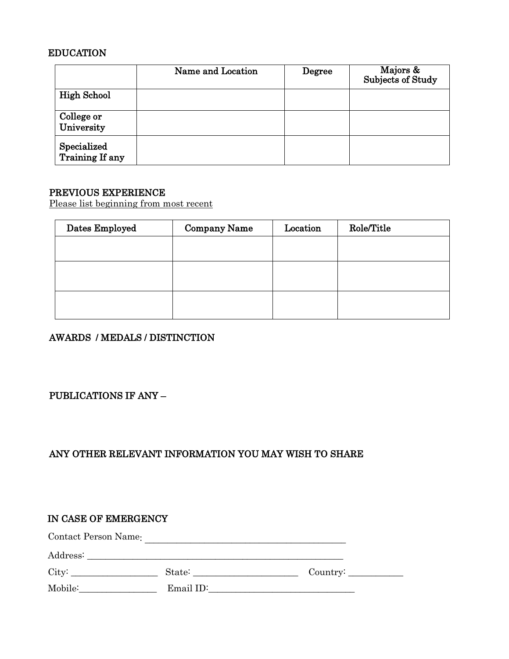# EDUCATION

|                                | Name and Location | Degree | Majors &<br>Subjects of Study |
|--------------------------------|-------------------|--------|-------------------------------|
| <b>High School</b>             |                   |        |                               |
| College or<br>University       |                   |        |                               |
| Specialized<br>Training If any |                   |        |                               |

### PREVIOUS EXPERIENCE

Please list beginning from most recent

| Dates Employed | <b>Company Name</b> | Location | Role/Title |
|----------------|---------------------|----------|------------|
|                |                     |          |            |
|                |                     |          |            |
|                |                     |          |            |
|                |                     |          |            |
|                |                     |          |            |

# AWARDS / MEDALS / DISTINCTION

# PUBLICATIONS IF ANY –

# ANY OTHER RELEVANT INFORMATION YOU MAY WISH TO SHARE

| IN CASE OF EMERGENCY |           |          |  |  |  |
|----------------------|-----------|----------|--|--|--|
| Contact Person Name: |           |          |  |  |  |
|                      |           |          |  |  |  |
| City:                |           | Country: |  |  |  |
| Mobile:              | Email ID: |          |  |  |  |